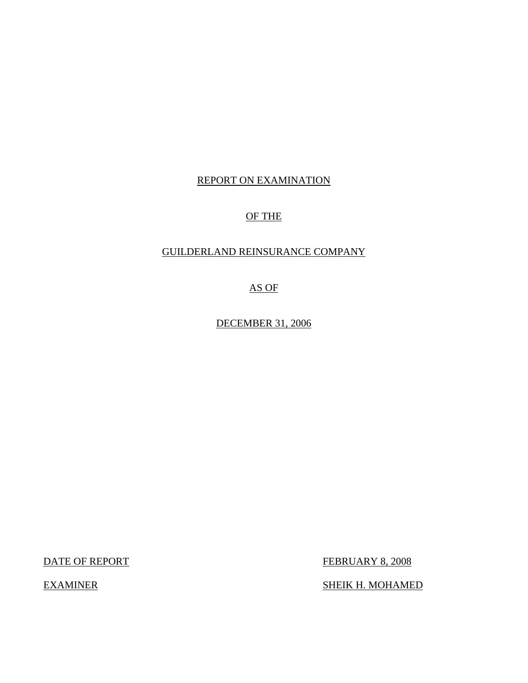# REPORT ON EXAMINATION

# OF THE

# GUILDERLAND REINSURANCE COMPANY

AS OF

DECEMBER 31, 2006

DATE OF REPORT FEBRUARY 8, 2008

EXAMINER SHEIK H. MOHAMED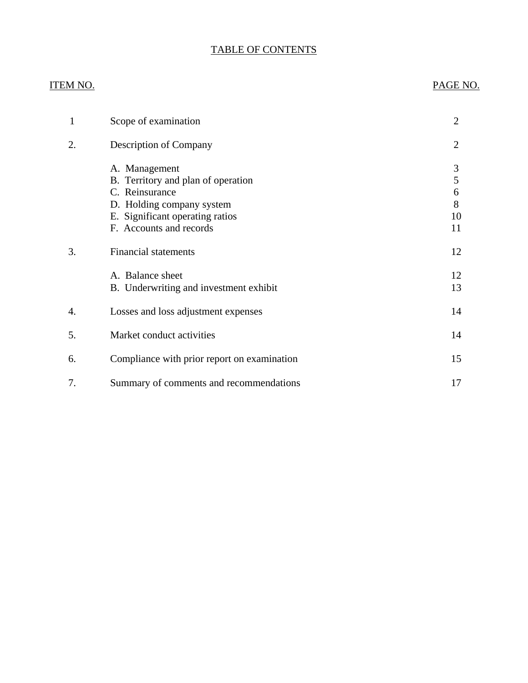# TABLE OF CONTENTS

# ITEM NO. PAGE NO.

| 1  | Scope of examination                                                                                                                                             | 2                            |
|----|------------------------------------------------------------------------------------------------------------------------------------------------------------------|------------------------------|
| 2. | <b>Description of Company</b>                                                                                                                                    | $\overline{2}$               |
|    | A. Management<br>B. Territory and plan of operation<br>C. Reinsurance<br>D. Holding company system<br>E. Significant operating ratios<br>F. Accounts and records | 3<br>5<br>6<br>8<br>10<br>11 |
| 3. | <b>Financial statements</b>                                                                                                                                      | 12                           |
|    | A. Balance sheet<br>B. Underwriting and investment exhibit                                                                                                       | 12<br>13                     |
| 4. | Losses and loss adjustment expenses                                                                                                                              | 14                           |
| 5. | Market conduct activities                                                                                                                                        | 14                           |
| 6. | Compliance with prior report on examination                                                                                                                      | 15                           |
| 7. | Summary of comments and recommendations                                                                                                                          | 17                           |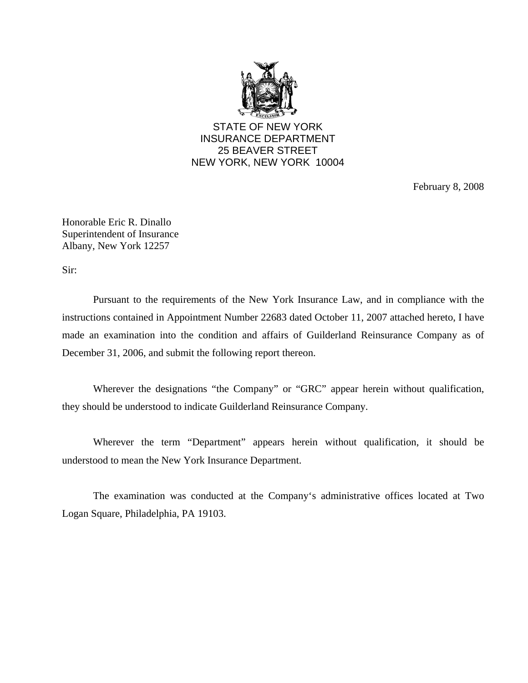

STATE OF NEW YORK INSURANCE DEPARTMENT 25 BEAVER STREET NEW YORK, NEW YORK 10004

February 8, 2008

Honorable Eric R. Dinallo Superintendent of Insurance Albany, New York 12257

Sir:

Pursuant to the requirements of the New York Insurance Law, and in compliance with the instructions contained in Appointment Number 22683 dated October 11, 2007 attached hereto, I have made an examination into the condition and affairs of Guilderland Reinsurance Company as of December 31, 2006, and submit the following report thereon.

Wherever the designations "the Company" or "GRC" appear herein without qualification, they should be understood to indicate Guilderland Reinsurance Company.

Wherever the term "Department" appears herein without qualification, it should be understood to mean the New York Insurance Department.

The examination was conducted at the Company's administrative offices located at Two Logan Square, Philadelphia, PA 19103.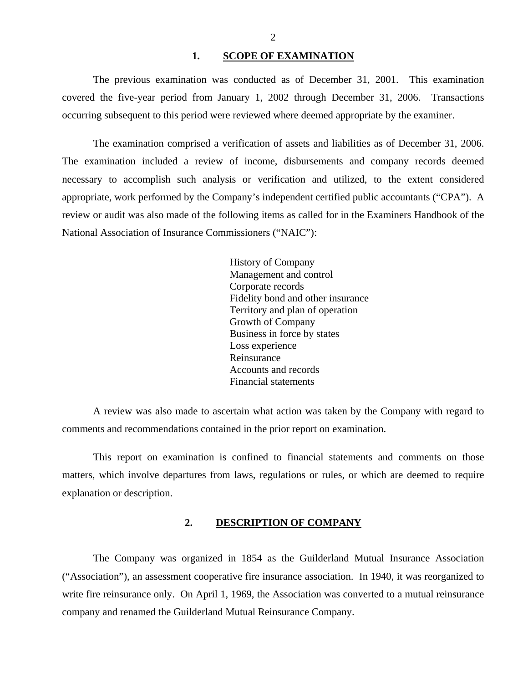#### 1. SCOPE OF EXAMINATION

<span id="page-3-0"></span>The previous examination was conducted as of December 31, 2001. This examination covered the five-year period from January 1, 2002 through December 31, 2006. Transactions occurring subsequent to this period were reviewed where deemed appropriate by the examiner.

The examination comprised a verification of assets and liabilities as of December 31, 2006. The examination included a review of income, disbursements and company records deemed necessary to accomplish such analysis or verification and utilized, to the extent considered appropriate, work performed by the Company's independent certified public accountants ("CPA"). A review or audit was also made of the following items as called for in the Examiners Handbook of the National Association of Insurance Commissioners ("NAIC"):

> History of Company Management and control Corporate records Fidelity bond and other insurance Territory and plan of operation Growth of Company Business in force by states Loss experience Reinsurance Accounts and records Financial statements

A review was also made to ascertain what action was taken by the Company with regard to comments and recommendations contained in the prior report on examination.

This report on examination is confined to financial statements and comments on those matters, which involve departures from laws, regulations or rules, or which are deemed to require explanation or description.

#### **2. DESCRIPTION OF COMPANY**

The Company was organized in 1854 as the Guilderland Mutual Insurance Association ("Association"), an assessment cooperative fire insurance association. In 1940, it was reorganized to write fire reinsurance only. On April 1, 1969, the Association was converted to a mutual reinsurance company and renamed the Guilderland Mutual Reinsurance Company.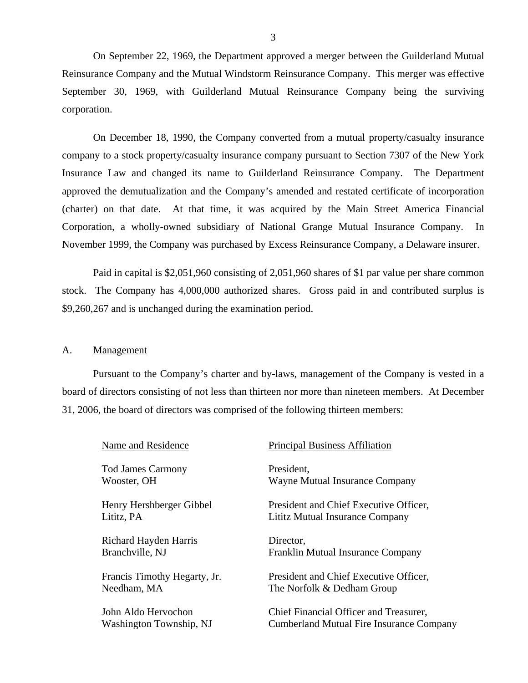<span id="page-4-0"></span>On September 22, 1969, the Department approved a merger between the Guilderland Mutual Reinsurance Company and the Mutual Windstorm Reinsurance Company. This merger was effective September 30, 1969, with Guilderland Mutual Reinsurance Company being the surviving corporation.

On December 18, 1990, the Company converted from a mutual property/casualty insurance company to a stock property/casualty insurance company pursuant to Section 7307 of the New York Insurance Law and changed its name to Guilderland Reinsurance Company. The Department approved the demutualization and the Company's amended and restated certificate of incorporation (charter) on that date. At that time, it was acquired by the Main Street America Financial Corporation, a wholly-owned subsidiary of National Grange Mutual Insurance Company. In November 1999, the Company was purchased by Excess Reinsurance Company, a Delaware insurer.

Paid in capital is \$2,051,960 consisting of 2,051,960 shares of \$1 par value per share common stock. The Company has 4,000,000 authorized shares. Gross paid in and contributed surplus is \$9,260,267 and is unchanged during the examination period.

#### A. Management

Pursuant to the Company's charter and by-laws, management of the Company is vested in a board of directors consisting of not less than thirteen nor more than nineteen members. At December 31, 2006, the board of directors was comprised of the following thirteen members:

| Name and Residence           | <b>Principal Business Affiliation</b>           |
|------------------------------|-------------------------------------------------|
| <b>Tod James Carmony</b>     | President.                                      |
| Wooster, OH                  | Wayne Mutual Insurance Company                  |
| Henry Hershberger Gibbel     | President and Chief Executive Officer,          |
| Lititz, PA                   | Lititz Mutual Insurance Company                 |
| Richard Hayden Harris        | Director,                                       |
| Branchville, NJ              | Franklin Mutual Insurance Company               |
| Francis Timothy Hegarty, Jr. | President and Chief Executive Officer,          |
| Needham, MA                  | The Norfolk & Dedham Group                      |
| John Aldo Hervochon          | Chief Financial Officer and Treasurer,          |
| Washington Township, NJ      | <b>Cumberland Mutual Fire Insurance Company</b> |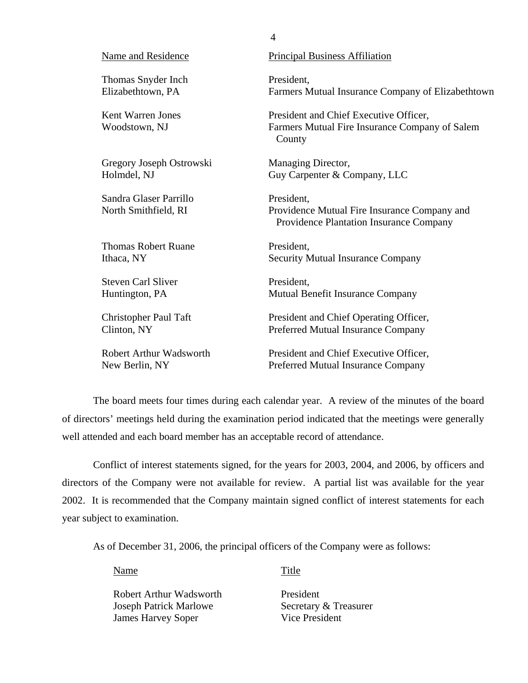| Name and Residence                             | <b>Principal Business Affiliation</b>                                                                        |
|------------------------------------------------|--------------------------------------------------------------------------------------------------------------|
| Thomas Snyder Inch                             | President,                                                                                                   |
| Elizabethtown, PA                              | Farmers Mutual Insurance Company of Elizabethtown                                                            |
| Kent Warren Jones<br>Woodstown, NJ             | President and Chief Executive Officer,<br>Farmers Mutual Fire Insurance Company of Salem<br>County           |
| Gregory Joseph Ostrowski                       | Managing Director,                                                                                           |
| Holmdel, NJ                                    | Guy Carpenter & Company, LLC                                                                                 |
| Sandra Glaser Parrillo<br>North Smithfield, RI | President,<br>Providence Mutual Fire Insurance Company and<br><b>Providence Plantation Insurance Company</b> |
| <b>Thomas Robert Ruane</b>                     | President,                                                                                                   |
| Ithaca, NY                                     | <b>Security Mutual Insurance Company</b>                                                                     |
| <b>Steven Carl Sliver</b>                      | President,                                                                                                   |
| Huntington, PA                                 | Mutual Benefit Insurance Company                                                                             |
| <b>Christopher Paul Taft</b>                   | President and Chief Operating Officer,                                                                       |
| Clinton, NY                                    | Preferred Mutual Insurance Company                                                                           |
| Robert Arthur Wadsworth                        | President and Chief Executive Officer,                                                                       |
| New Berlin, NY                                 | Preferred Mutual Insurance Company                                                                           |

4

The board meets four times during each calendar year. A review of the minutes of the board of directors' meetings held during the examination period indicated that the meetings were generally well attended and each board member has an acceptable record of attendance.

Conflict of interest statements signed, for the years for 2003, 2004, and 2006, by officers and directors of the Company were not available for review. A partial list was available for the year 2002. It is recommended that the Company maintain signed conflict of interest statements for each year subject to examination.

As of December 31, 2006, the principal officers of the Company were as follows:

Name Title

Robert Arthur Wadsworth President Joseph Patrick Marlowe Secretary & Treasurer **James Harvey Soper** Vice President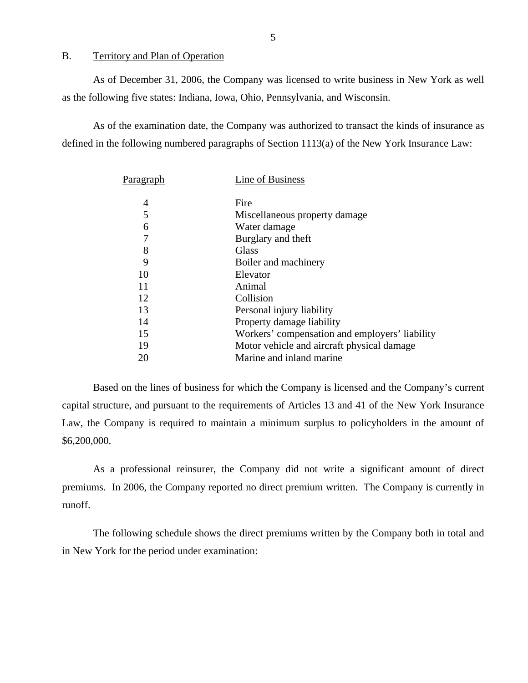### <span id="page-6-0"></span>B. Territory and Plan of Operation

As of December 31, 2006, the Company was licensed to write business in New York as well as the following five states: Indiana, Iowa, Ohio, Pennsylvania, and Wisconsin.

As of the examination date, the Company was authorized to transact the kinds of insurance as defined in the following numbered paragraphs of Section 1113(a) of the New York Insurance Law:

| Paragraph | Line of Business                               |
|-----------|------------------------------------------------|
| 4         | Fire                                           |
| 5         | Miscellaneous property damage                  |
| 6         | Water damage                                   |
| 7         | Burglary and theft                             |
| 8         | Glass                                          |
| 9         | Boiler and machinery                           |
| 10        | Elevator                                       |
| 11        | Animal                                         |
| 12        | Collision                                      |
| 13        | Personal injury liability                      |
| 14        | Property damage liability                      |
| 15        | Workers' compensation and employers' liability |
| 19        | Motor vehicle and aircraft physical damage     |
| 20        | Marine and inland marine                       |

Based on the lines of business for which the Company is licensed and the Company's current capital structure, and pursuant to the requirements of Articles 13 and 41 of the New York Insurance Law, the Company is required to maintain a minimum surplus to policyholders in the amount of \$6,200,000.

As a professional reinsurer, the Company did not write a significant amount of direct premiums. In 2006, the Company reported no direct premium written. The Company is currently in runoff.

The following schedule shows the direct premiums written by the Company both in total and in New York for the period under examination: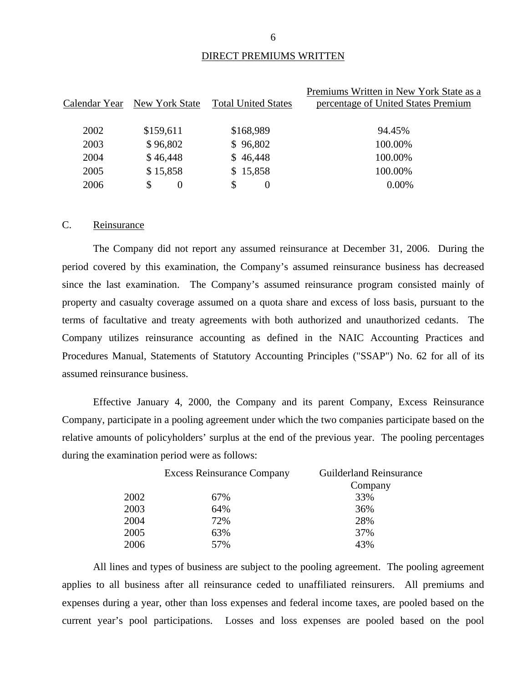#### DIRECT PREMIUMS WRITTEN

<span id="page-7-0"></span>

| Premiums Written in New York State as a                                                              |  |
|------------------------------------------------------------------------------------------------------|--|
| <b>Total United States</b><br>percentage of United States Premium<br>New York State<br>Calendar Year |  |
|                                                                                                      |  |
| \$168,989<br>2002<br>\$159,611<br>94.45%                                                             |  |
| \$96,802<br>\$96,802<br>100.00%<br>2003                                                              |  |
| \$46,448<br>\$46,448<br>100.00%<br>2004                                                              |  |
| \$15,858<br>\$15,858<br>100.00%<br>2005                                                              |  |
| 0.00%<br>2006<br>S<br>\$<br>$\theta$<br>$\theta$                                                     |  |

### C. Reinsurance

The Company did not report any assumed reinsurance at December 31, 2006. During the period covered by this examination, the Company's assumed reinsurance business has decreased since the last examination. The Company's assumed reinsurance program consisted mainly of property and casualty coverage assumed on a quota share and excess of loss basis, pursuant to the terms of facultative and treaty agreements with both authorized and unauthorized cedants. The Company utilizes reinsurance accounting as defined in the NAIC Accounting Practices and Procedures Manual, Statements of Statutory Accounting Principles ("SSAP") No. 62 for all of its assumed reinsurance business.

Effective January 4, 2000, the Company and its parent Company, Excess Reinsurance Company, participate in a pooling agreement under which the two companies participate based on the relative amounts of policyholders' surplus at the end of the previous year. The pooling percentages during the examination period were as follows:

|      | <b>Excess Reinsurance Company</b> | <b>Guilderland Reinsurance</b> |
|------|-----------------------------------|--------------------------------|
|      |                                   | Company                        |
| 2002 | 67%                               | 33%                            |
| 2003 | 64%                               | 36%                            |
| 2004 | 72%                               | 28%                            |
| 2005 | 63%                               | 37%                            |
| 2006 | 57%                               | 43%                            |

All lines and types of business are subject to the pooling agreement. The pooling agreement applies to all business after all reinsurance ceded to unaffiliated reinsurers. All premiums and expenses during a year, other than loss expenses and federal income taxes, are pooled based on the current year's pool participations. Losses and loss expenses are pooled based on the pool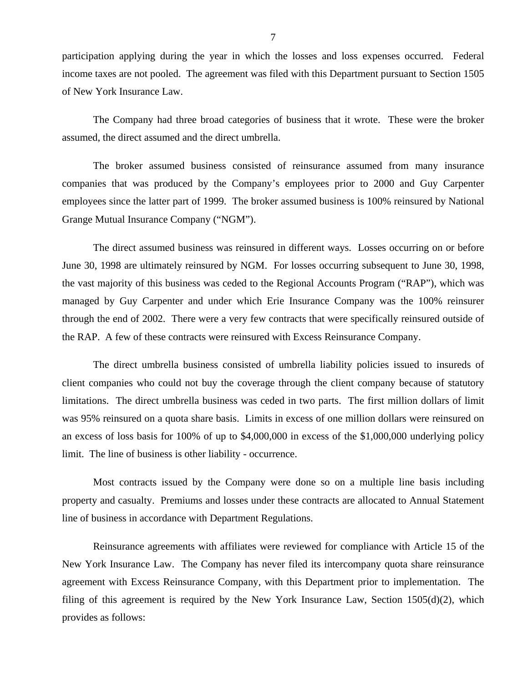participation applying during the year in which the losses and loss expenses occurred. Federal income taxes are not pooled. The agreement was filed with this Department pursuant to Section 1505 of New York Insurance Law.

The Company had three broad categories of business that it wrote. These were the broker assumed, the direct assumed and the direct umbrella.

The broker assumed business consisted of reinsurance assumed from many insurance companies that was produced by the Company's employees prior to 2000 and Guy Carpenter employees since the latter part of 1999. The broker assumed business is 100% reinsured by National Grange Mutual Insurance Company ("NGM").

The direct assumed business was reinsured in different ways. Losses occurring on or before June 30, 1998 are ultimately reinsured by NGM. For losses occurring subsequent to June 30, 1998, the vast majority of this business was ceded to the Regional Accounts Program ("RAP"), which was managed by Guy Carpenter and under which Erie Insurance Company was the 100% reinsurer through the end of 2002. There were a very few contracts that were specifically reinsured outside of the RAP. A few of these contracts were reinsured with Excess Reinsurance Company.

The direct umbrella business consisted of umbrella liability policies issued to insureds of client companies who could not buy the coverage through the client company because of statutory limitations. The direct umbrella business was ceded in two parts. The first million dollars of limit was 95% reinsured on a quota share basis. Limits in excess of one million dollars were reinsured on an excess of loss basis for 100% of up to \$4,000,000 in excess of the \$1,000,000 underlying policy limit. The line of business is other liability - occurrence.

Most contracts issued by the Company were done so on a multiple line basis including property and casualty. Premiums and losses under these contracts are allocated to Annual Statement line of business in accordance with Department Regulations.

Reinsurance agreements with affiliates were reviewed for compliance with Article 15 of the New York Insurance Law. The Company has never filed its intercompany quota share reinsurance agreement with Excess Reinsurance Company, with this Department prior to implementation. The filing of this agreement is required by the New York Insurance Law, Section 1505(d)(2), which provides as follows: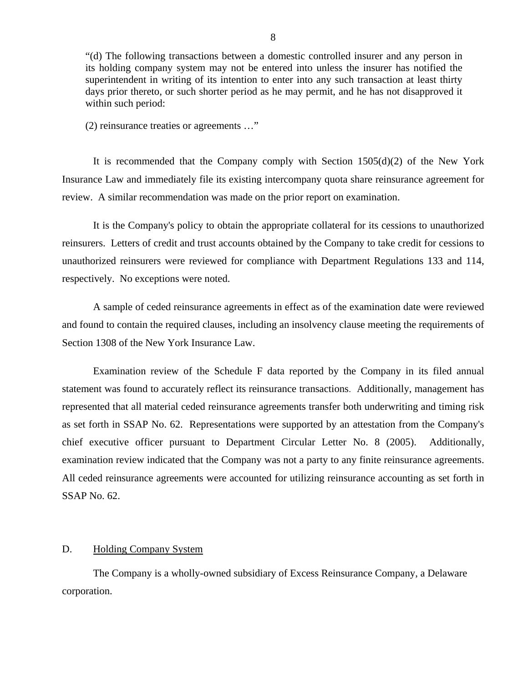<span id="page-9-0"></span>"(d) The following transactions between a domestic controlled insurer and any person in its holding company system may not be entered into unless the insurer has notified the superintendent in writing of its intention to enter into any such transaction at least thirty days prior thereto, or such shorter period as he may permit, and he has not disapproved it within such period:

(2) reinsurance treaties or agreements …"

It is recommended that the Company comply with Section 1505(d)(2) of the New York Insurance Law and immediately file its existing intercompany quota share reinsurance agreement for review. A similar recommendation was made on the prior report on examination.

It is the Company's policy to obtain the appropriate collateral for its cessions to unauthorized reinsurers. Letters of credit and trust accounts obtained by the Company to take credit for cessions to unauthorized reinsurers were reviewed for compliance with Department Regulations 133 and 114, respectively. No exceptions were noted.

A sample of ceded reinsurance agreements in effect as of the examination date were reviewed and found to contain the required clauses, including an insolvency clause meeting the requirements of Section 1308 of the New York Insurance Law.

Examination review of the Schedule F data reported by the Company in its filed annual statement was found to accurately reflect its reinsurance transactions. Additionally, management has represented that all material ceded reinsurance agreements transfer both underwriting and timing risk as set forth in SSAP No. 62. Representations were supported by an attestation from the Company's chief executive officer pursuant to Department Circular Letter No. 8 (2005). Additionally, examination review indicated that the Company was not a party to any finite reinsurance agreements. All ceded reinsurance agreements were accounted for utilizing reinsurance accounting as set forth in SSAP No. 62.

### D. Holding Company System

The Company is a wholly-owned subsidiary of Excess Reinsurance Company, a Delaware corporation.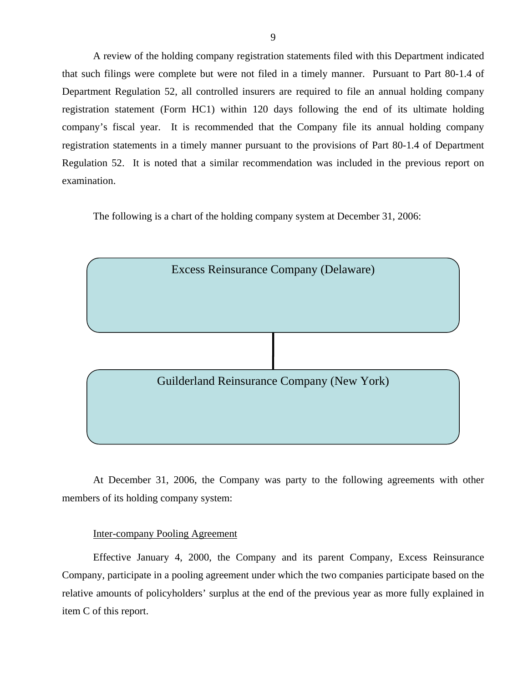A review of the holding company registration statements filed with this Department indicated that such filings were complete but were not filed in a timely manner. Pursuant to Part 80-1.4 of Department Regulation 52, all controlled insurers are required to file an annual holding company registration statement (Form HC1) within 120 days following the end of its ultimate holding company's fiscal year. It is recommended that the Company file its annual holding company registration statements in a timely manner pursuant to the provisions of Part 80-1.4 of Department Regulation 52. It is noted that a similar recommendation was included in the previous report on examination.

The following is a chart of the holding company system at December 31, 2006:



At December 31, 2006, the Company was party to the following agreements with other members of its holding company system:

#### Inter-company Pooling Agreement

Effective January 4, 2000, the Company and its parent Company, Excess Reinsurance Company, participate in a pooling agreement under which the two companies participate based on the relative amounts of policyholders' surplus at the end of the previous year as more fully explained in item C of this report.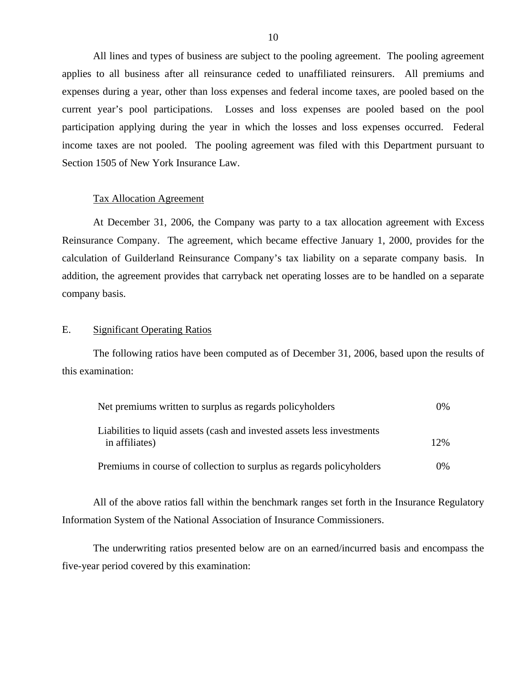<span id="page-11-0"></span>All lines and types of business are subject to the pooling agreement. The pooling agreement applies to all business after all reinsurance ceded to unaffiliated reinsurers. All premiums and expenses during a year, other than loss expenses and federal income taxes, are pooled based on the current year's pool participations. Losses and loss expenses are pooled based on the pool participation applying during the year in which the losses and loss expenses occurred. Federal income taxes are not pooled. The pooling agreement was filed with this Department pursuant to Section 1505 of New York Insurance Law.

#### Tax Allocation Agreement

At December 31, 2006, the Company was party to a tax allocation agreement with Excess Reinsurance Company. The agreement, which became effective January 1, 2000, provides for the calculation of Guilderland Reinsurance Company's tax liability on a separate company basis. In addition, the agreement provides that carryback net operating losses are to be handled on a separate company basis.

#### E. Significant Operating Ratios

The following ratios have been computed as of December 31, 2006, based upon the results of this examination:

| Net premiums written to surplus as regards policyholders                                  | $0\%$ |
|-------------------------------------------------------------------------------------------|-------|
| Liabilities to liquid assets (cash and invested assets less investments<br>in affiliates) | 12%   |
| Premiums in course of collection to surplus as regards policyholders                      | $0\%$ |

All of the above ratios fall within the benchmark ranges set forth in the Insurance Regulatory Information System of the National Association of Insurance Commissioners.

The underwriting ratios presented below are on an earned/incurred basis and encompass the five-year period covered by this examination: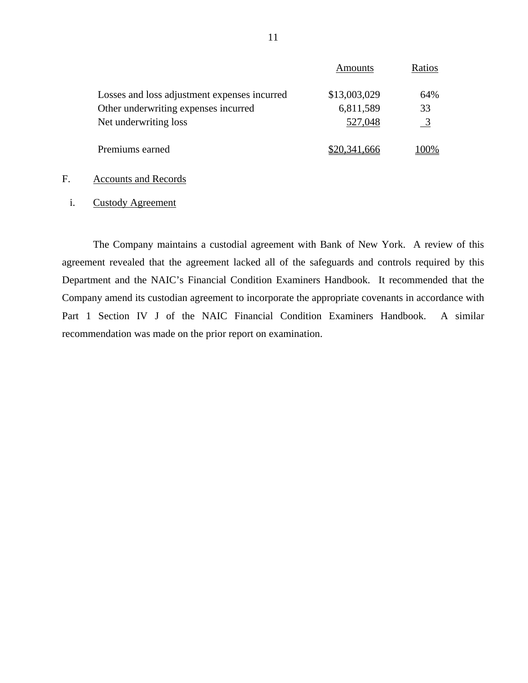|                                              | Amounts      | Ratios         |
|----------------------------------------------|--------------|----------------|
| Losses and loss adjustment expenses incurred | \$13,003,029 | 64%            |
| Other underwriting expenses incurred         | 6,811,589    | 33             |
| Net underwriting loss                        | 527,048      | $\overline{3}$ |
| Premiums earned                              | \$20,341,666 | LOO%           |
|                                              |              |                |

# F. Accounts and Records

i. Custody Agreement

The Company maintains a custodial agreement with Bank of New York. A review of this agreement revealed that the agreement lacked all of the safeguards and controls required by this Department and the NAIC's Financial Condition Examiners Handbook. It recommended that the Company amend its custodian agreement to incorporate the appropriate covenants in accordance with Part 1 Section IV J of the NAIC Financial Condition Examiners Handbook. A similar recommendation was made on the prior report on examination.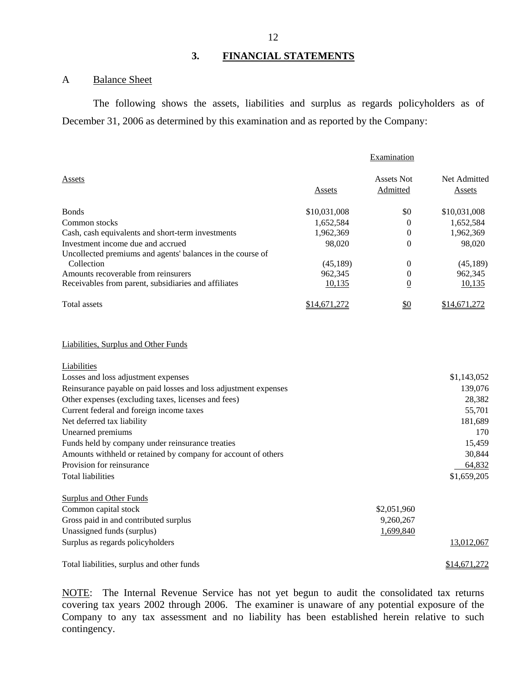# **3. FINANCIAL STATEMENTS**

### A Balance Sheet

The following shows the assets, liabilities and surplus as regards policyholders as of December 31, 2006 as determined by this examination and as reported by the Company:

|                                                                 |               | Examination                   |                               |
|-----------------------------------------------------------------|---------------|-------------------------------|-------------------------------|
| Assets                                                          | <b>Assets</b> | <b>Assets Not</b><br>Admitted | Net Admitted<br><b>Assets</b> |
| <b>Bonds</b>                                                    | \$10,031,008  | \$0                           | \$10,031,008                  |
| Common stocks                                                   | 1,652,584     | $\boldsymbol{0}$              | 1,652,584                     |
| Cash, cash equivalents and short-term investments               | 1,962,369     | $\boldsymbol{0}$              | 1,962,369                     |
| Investment income due and accrued                               | 98,020        | $\theta$                      | 98,020                        |
| Uncollected premiums and agents' balances in the course of      |               |                               |                               |
| Collection                                                      | (45, 189)     | $\boldsymbol{0}$              | (45, 189)                     |
| Amounts recoverable from reinsurers                             | 962,345       | $\boldsymbol{0}$              | 962,345                       |
| Receivables from parent, subsidiaries and affiliates            | 10,135        | $\overline{0}$                | 10,135                        |
| Total assets                                                    | \$14,671,272  | \$0                           | \$14,671,272                  |
| Liabilities, Surplus and Other Funds                            |               |                               |                               |
| Liabilities                                                     |               |                               |                               |
| Losses and loss adjustment expenses                             |               |                               | \$1,143,052                   |
| Reinsurance payable on paid losses and loss adjustment expenses |               |                               | 139,076                       |
| Other expenses (excluding taxes, licenses and fees)             |               |                               | 28,382                        |
| Current federal and foreign income taxes                        |               |                               | 55,701                        |
| Net deferred tax liability                                      |               |                               | 181,689                       |
| Unearned premiums                                               |               |                               | 170                           |
| Funds held by company under reinsurance treaties                |               |                               | 15,459                        |
| Amounts withheld or retained by company for account of others   |               |                               | 30,844                        |
| Provision for reinsurance                                       |               |                               | 64,832                        |
| <b>Total liabilities</b>                                        |               |                               | \$1,659,205                   |
| <b>Surplus and Other Funds</b>                                  |               |                               |                               |
| Common capital stock                                            |               | \$2,051,960                   |                               |
| Gross paid in and contributed surplus                           |               | 9,260,267                     |                               |
| Unassigned funds (surplus)                                      |               | 1,699,840                     |                               |
| Surplus as regards policyholders                                |               |                               | 13,012,067                    |
| Total liabilities, surplus and other funds                      |               |                               | \$14,671,272                  |

NOTE: The Internal Revenue Service has not yet begun to audit the consolidated tax returns covering tax years 2002 through 2006. The examiner is unaware of any potential exposure of the Company to any tax assessment and no liability has been established herein relative to such contingency.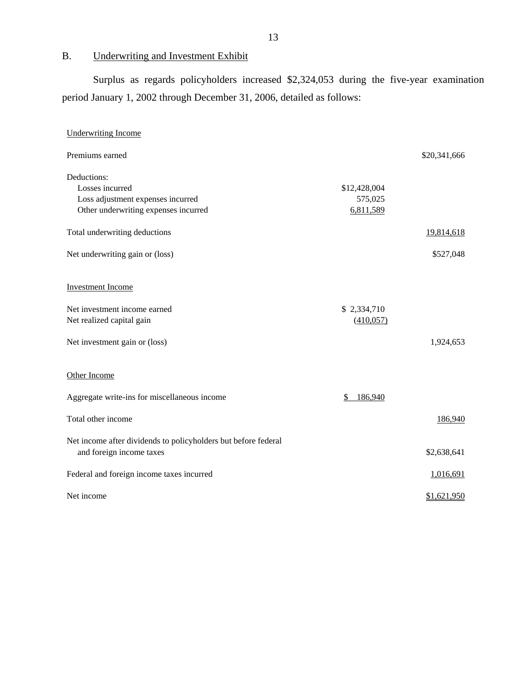# B. Underwriting and Investment Exhibit

Surplus as regards policyholders increased \$2,324,053 during the five-year examination period January 1, 2002 through December 31, 2006, detailed as follows:

| <b>Underwriting Income</b>                                                                 |               |              |
|--------------------------------------------------------------------------------------------|---------------|--------------|
| Premiums earned                                                                            |               | \$20,341,666 |
| Deductions:                                                                                |               |              |
| Losses incurred                                                                            | \$12,428,004  |              |
| Loss adjustment expenses incurred                                                          | 575,025       |              |
| Other underwriting expenses incurred                                                       | 6,811,589     |              |
| Total underwriting deductions                                                              |               | 19,814,618   |
| Net underwriting gain or (loss)                                                            |               | \$527,048    |
| <b>Investment Income</b>                                                                   |               |              |
| Net investment income earned                                                               | \$2,334,710   |              |
| Net realized capital gain                                                                  | (410,057)     |              |
| Net investment gain or (loss)                                                              |               | 1,924,653    |
| Other Income                                                                               |               |              |
| Aggregate write-ins for miscellaneous income                                               | 186,940<br>S. |              |
| Total other income                                                                         |               | 186,940      |
| Net income after dividends to policyholders but before federal<br>and foreign income taxes |               | \$2,638,641  |
| Federal and foreign income taxes incurred                                                  |               | 1,016,691    |
| Net income                                                                                 |               | \$1,621,950  |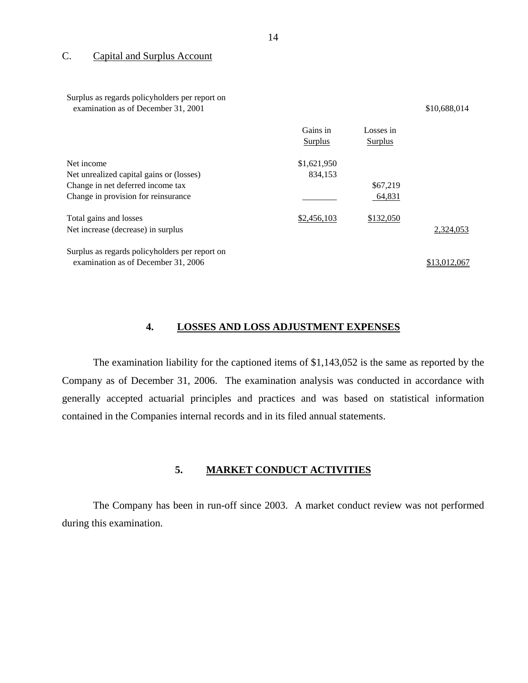#### C. Capital and Surplus Account

Surplus as regards policyholders per report on examination as of December 31, 2001 \$10,688,014

|                                                | Gains in<br>Surplus | Losses in<br>Surplus |              |
|------------------------------------------------|---------------------|----------------------|--------------|
| Net income                                     | \$1,621,950         |                      |              |
| Net unrealized capital gains or (losses)       | 834,153             |                      |              |
| Change in net deferred income tax              |                     | \$67,219             |              |
| Change in provision for reinsurance            |                     | 64,831               |              |
| Total gains and losses                         | \$2,456,103         | \$132,050            |              |
| Net increase (decrease) in surplus             |                     |                      | 2,324,053    |
| Surplus as regards policyholders per report on |                     |                      |              |
| examination as of December 31, 2006            |                     |                      | \$13,012,067 |

#### **4. LOSSES AND LOSS ADJUSTMENT EXPENSES**

The examination liability for the captioned items of \$1,143,052 is the same as reported by the Company as of December 31, 2006. The examination analysis was conducted in accordance with generally accepted actuarial principles and practices and was based on statistical information contained in the Companies internal records and in its filed annual statements.

#### **5. MARKET CONDUCT ACTIVITIES**

The Company has been in run-off since 2003. A market conduct review was not performed during this examination.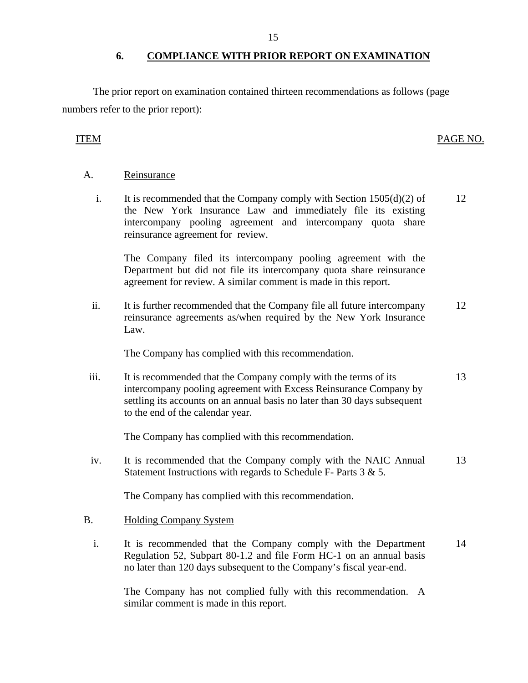## **6. COMPLIANCE WITH PRIOR REPORT ON EXAMINATION**

<span id="page-16-0"></span>The prior report on examination contained thirteen recommendations as follows (page numbers refer to the prior report):

# ITEM PAGE NO.

# A. Reinsurance

i. It is recommended that the Company comply with Section  $1505(d)(2)$  of the New York Insurance Law and immediately file its existing intercompany pooling agreement and intercompany quota share reinsurance agreement for review. 12

The Company filed its intercompany pooling agreement with the Department but did not file its intercompany quota share reinsurance agreement for review. A similar comment is made in this report.

ii. It is further recommended that the Company file all future intercompany reinsurance agreements as/when required by the New York Insurance Law. 12

The Company has complied with this recommendation.

iii. It is recommended that the Company comply with the terms of its intercompany pooling agreement with Excess Reinsurance Company by settling its accounts on an annual basis no later than 30 days subsequent to the end of the calendar year. 13

The Company has complied with this recommendation.

iv. It is recommended that the Company comply with the NAIC Annual Statement Instructions with regards to Schedule F- Parts 3 & 5. 13

The Company has complied with this recommendation.

# B. Holding Company System

i. It is recommended that the Company comply with the Department Regulation 52, Subpart 80-1.2 and file Form HC-1 on an annual basis no later than 120 days subsequent to the Company's fiscal year-end. 14

The Company has not complied fully with this recommendation. A similar comment is made in this report.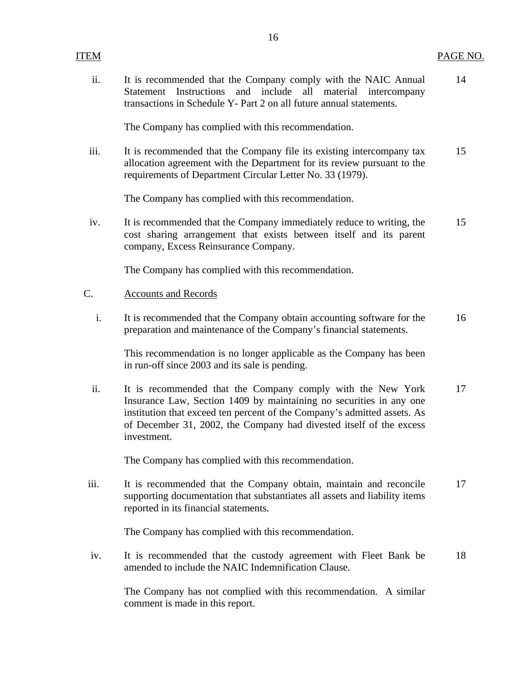| ITEM |                                                                                                                                                                                                                                                                                                      | <u>PAGE NO.</u> |
|------|------------------------------------------------------------------------------------------------------------------------------------------------------------------------------------------------------------------------------------------------------------------------------------------------------|-----------------|
| ii.  | It is recommended that the Company comply with the NAIC Annual<br>Statement Instructions and include<br>all material intercompany<br>transactions in Schedule Y- Part 2 on all future annual statements.                                                                                             | 14              |
|      | The Company has complied with this recommendation.                                                                                                                                                                                                                                                   |                 |
| iii. | It is recommended that the Company file its existing intercompany tax<br>allocation agreement with the Department for its review pursuant to the<br>requirements of Department Circular Letter No. 33 (1979).                                                                                        | 15              |
|      | The Company has complied with this recommendation.                                                                                                                                                                                                                                                   |                 |
| iv.  | It is recommended that the Company immediately reduce to writing, the<br>cost sharing arrangement that exists between itself and its parent<br>company, Excess Reinsurance Company.                                                                                                                  | 15              |
|      | The Company has complied with this recommendation.                                                                                                                                                                                                                                                   |                 |
| C.   | <b>Accounts and Records</b>                                                                                                                                                                                                                                                                          |                 |
| i.   | It is recommended that the Company obtain accounting software for the<br>preparation and maintenance of the Company's financial statements.                                                                                                                                                          | 16              |
|      | This recommendation is no longer applicable as the Company has been<br>in run-off since 2003 and its sale is pending.                                                                                                                                                                                |                 |
| ii.  | It is recommended that the Company comply with the New York<br>Insurance Law, Section 1409 by maintaining no securities in any one<br>institution that exceed ten percent of the Company's admitted assets. As<br>of December 31, 2002, the Company had divested itself of the excess<br>investment. | 17              |
|      | The Company has complied with this recommendation.                                                                                                                                                                                                                                                   |                 |
| iii. | It is recommended that the Company obtain, maintain and reconcile<br>supporting documentation that substantiates all assets and liability items<br>reported in its financial statements.                                                                                                             | 17              |
|      | The Company has complied with this recommendation.                                                                                                                                                                                                                                                   |                 |
| iv.  | It is recommended that the custody agreement with Fleet Bank be<br>amended to include the NAIC Indemnification Clause.                                                                                                                                                                               | 18              |
|      | The Company has not complied with this recommendation. A similar<br>comment is made in this report.                                                                                                                                                                                                  |                 |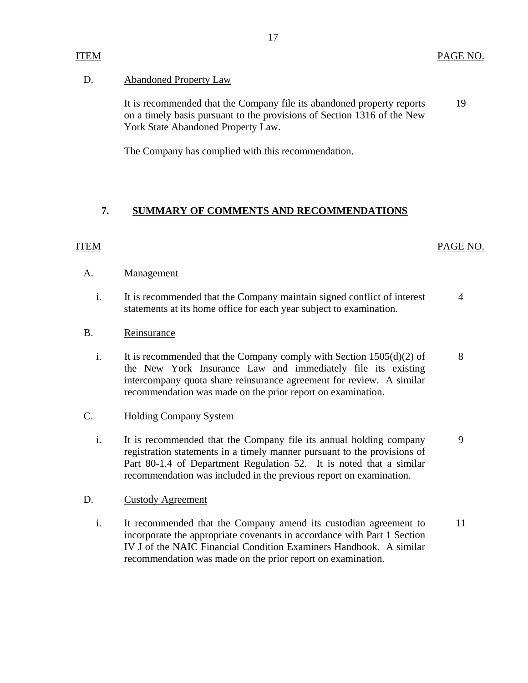## <span id="page-18-0"></span>D. **Abandoned Property Law**

It is recommended that the Company file its abandoned property reports 19 on a timely basis pursuant to the provisions of Section 1316 of the New York State Abandoned Property Law.

The Company has complied with this recommendation.

# **7. SUMMARY OF COMMENTS AND RECOMMENDATIONS**

# ITEM PAGE NO.

## A. Management

i. It is recommended that the Company maintain signed conflict of interest 4 statements at its home office for each year subject to examination.

# B. Reinsurance

i. It is recommended that the Company comply with Section  $1505(d)(2)$  of 8 the New York Insurance Law and immediately file its existing intercompany quota share reinsurance agreement for review. A similar recommendation was made on the prior report on examination.

## C. Holding Company System

i. It is recommended that the Company file its annual holding company 9 registration statements in a timely manner pursuant to the provisions of Part 80-1.4 of Department Regulation 52. It is noted that a similar recommendation was included in the previous report on examination.

## D. Custody Agreement

i. It recommended that the Company amend its custodian agreement to 11 incorporate the appropriate covenants in accordance with Part 1 Section IV J of the NAIC Financial Condition Examiners Handbook. A similar recommendation was made on the prior report on examination.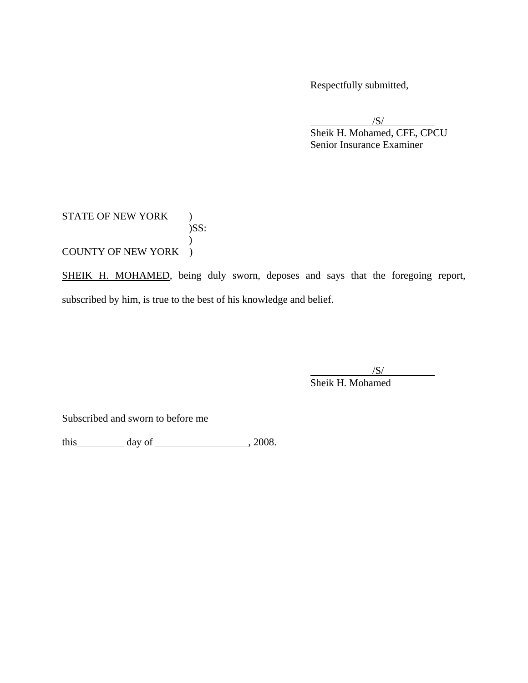Respectfully submitted,

 /S/ Sheik H. Mohamed, CFE, CPCU Senior Insurance Examiner

# STATE OF NEW YORK )  $)$ SS:  $\mathcal{L}$ COUNTY OF NEW YORK )

SHEIK H. MOHAMED, being duly sworn, deposes and says that the foregoing report, subscribed by him, is true to the best of his knowledge and belief.

> $\sqrt{S/2}$ Sheik H. Mohamed

Subscribed and sworn to before me

this  $\qquad \qquad \text{day of} \qquad \qquad 2008.$